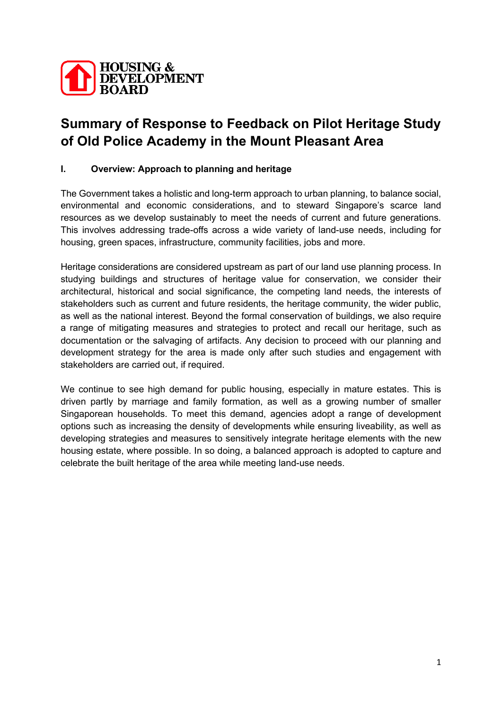

# **Summary of Response to Feedback on Pilot Heritage Study of Old Police Academy in the Mount Pleasant Area**

## **I. Overview: Approach to planning and heritage**

The Government takes a holistic and long-term approach to urban planning, to balance social, environmental and economic considerations, and to steward Singapore's scarce land resources as we develop sustainably to meet the needs of current and future generations. This involves addressing trade-offs across a wide variety of land-use needs, including for housing, green spaces, infrastructure, community facilities, jobs and more.

Heritage considerations are considered upstream as part of our land use planning process. In studying buildings and structures of heritage value for conservation, we consider their architectural, historical and social significance, the competing land needs, the interests of stakeholders such as current and future residents, the heritage community, the wider public, as well as the national interest. Beyond the formal conservation of buildings, we also require a range of mitigating measures and strategies to protect and recall our heritage, such as documentation or the salvaging of artifacts. Any decision to proceed with our planning and development strategy for the area is made only after such studies and engagement with stakeholders are carried out, if required.

We continue to see high demand for public housing, especially in mature estates. This is driven partly by marriage and family formation, as well as a growing number of smaller Singaporean households. To meet this demand, agencies adopt a range of development options such as increasing the density of developments while ensuring liveability, as well as developing strategies and measures to sensitively integrate heritage elements with the new housing estate, where possible. In so doing, a balanced approach is adopted to capture and celebrate the built heritage of the area while meeting land-use needs.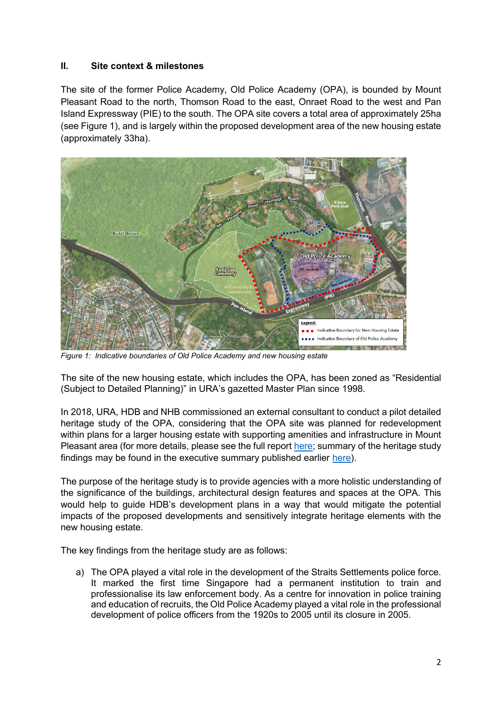### **II. Site context & milestones**

The site of the former Police Academy, Old Police Academy (OPA), is bounded by Mount Pleasant Road to the north, Thomson Road to the east, Onraet Road to the west and Pan Island Expressway (PIE) to the south. The OPA site covers a total area of approximately 25ha (see Figure 1), and is largely within the proposed development area of the new housing estate (approximately 33ha).



*Figure 1: Indicative boundaries of Old Police Academy and new housing estate* 

The site of the new housing estate, which includes the OPA, has been zoned as "Residential (Subject to Detailed Planning)" in URA's gazetted Master Plan since 1998.

In 2018, URA, HDB and NHB commissioned an external consultant to conduct a pilot detailed heritage study of the OPA, considering that the OPA site was planned for redevelopment within plans for a larger housing estate with supporting amenities and infrastructure in Mount Pleasant area (for more details, please see the full report [here;](https://www.hdb.gov.sg/cs/infoweb/-/media/doc/RPG/Old-Police-Academy-Heritage-Study-Report.pdf) summary of the heritage study findings may be found in the executive summary published earlier [here\)](https://www.hdb.gov.sg/cs/infoweb/-/media/doc/RPG/Old-Police-Academy-Heritage-Study-Executive-Summary.pdf).

The purpose of the heritage study is to provide agencies with a more holistic understanding of the significance of the buildings, architectural design features and spaces at the OPA. This would help to guide HDB's development plans in a way that would mitigate the potential impacts of the proposed developments and sensitively integrate heritage elements with the new housing estate.

The key findings from the heritage study are as follows:

a) The OPA played a vital role in the development of the Straits Settlements police force. It marked the first time Singapore had a permanent institution to train and professionalise its law enforcement body. As a centre for innovation in police training and education of recruits, the Old Police Academy played a vital role in the professional development of police officers from the 1920s to 2005 until its closure in 2005.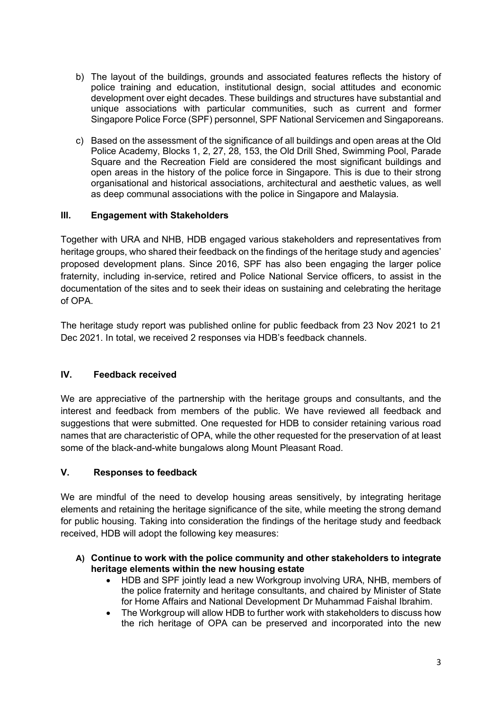- b) The layout of the buildings, grounds and associated features reflects the history of police training and education, institutional design, social attitudes and economic development over eight decades. These buildings and structures have substantial and unique associations with particular communities, such as current and former Singapore Police Force (SPF) personnel, SPF National Servicemen and Singaporeans.
- c) Based on the assessment of the significance of all buildings and open areas at the Old Police Academy, Blocks 1, 2, 27, 28, 153, the Old Drill Shed, Swimming Pool, Parade Square and the Recreation Field are considered the most significant buildings and open areas in the history of the police force in Singapore. This is due to their strong organisational and historical associations, architectural and aesthetic values, as well as deep communal associations with the police in Singapore and Malaysia.

## **III. Engagement with Stakeholders**

Together with URA and NHB, HDB engaged various stakeholders and representatives from heritage groups, who shared their feedback on the findings of the heritage study and agencies' proposed development plans. Since 2016, SPF has also been engaging the larger police fraternity, including in-service, retired and Police National Service officers, to assist in the documentation of the sites and to seek their ideas on sustaining and celebrating the heritage of OPA.

The heritage study report was published online for public feedback from 23 Nov 2021 to 21 Dec 2021. In total, we received 2 responses via HDB's feedback channels.

## **IV. Feedback received**

We are appreciative of the partnership with the heritage groups and consultants, and the interest and feedback from members of the public. We have reviewed all feedback and suggestions that were submitted. One requested for HDB to consider retaining various road names that are characteristic of OPA, while the other requested for the preservation of at least some of the black-and-white bungalows along Mount Pleasant Road.

#### **V. Responses to feedback**

We are mindful of the need to develop housing areas sensitively, by integrating heritage elements and retaining the heritage significance of the site, while meeting the strong demand for public housing. Taking into consideration the findings of the heritage study and feedback received, HDB will adopt the following key measures:

#### **A) Continue to work with the police community and other stakeholders to integrate heritage elements within the new housing estate**

- HDB and SPF jointly lead a new Workgroup involving URA, NHB, members of the police fraternity and heritage consultants, and chaired by Minister of State for Home Affairs and National Development Dr Muhammad Faishal Ibrahim.
- The Workgroup will allow HDB to further work with stakeholders to discuss how the rich heritage of OPA can be preserved and incorporated into the new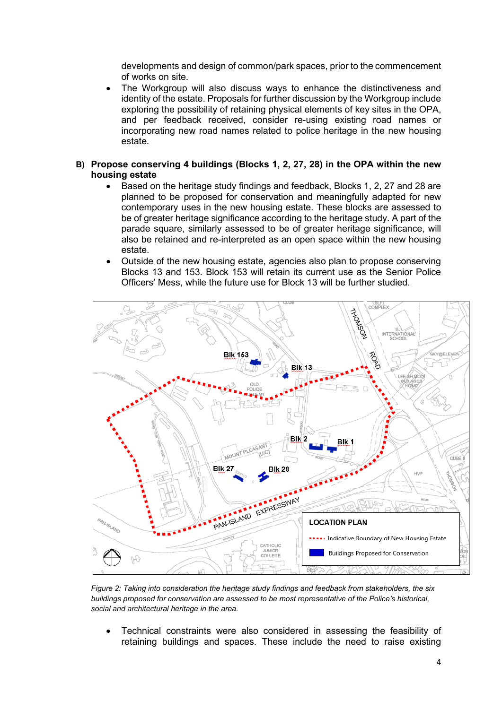developments and design of common/park spaces, prior to the commencement of works on site.

- The Workgroup will also discuss ways to enhance the distinctiveness and identity of the estate. Proposals for further discussion by the Workgroup include exploring the possibility of retaining physical elements of key sites in the OPA, and per feedback received, consider re-using existing road names or incorporating new road names related to police heritage in the new housing estate.
- **B) Propose conserving 4 buildings (Blocks 1, 2, 27, 28) in the OPA within the new housing estate**
	- Based on the heritage study findings and feedback, Blocks 1, 2, 27 and 28 are planned to be proposed for conservation and meaningfully adapted for new contemporary uses in the new housing estate. These blocks are assessed to be of greater heritage significance according to the heritage study. A part of the parade square, similarly assessed to be of greater heritage significance, will also be retained and re-interpreted as an open space within the new housing estate.
	- Outside of the new housing estate, agencies also plan to propose conserving Blocks 13 and 153. Block 153 will retain its current use as the Senior Police Officers' Mess, while the future use for Block 13 will be further studied.



*Figure 2: Taking into consideration the heritage study findings and feedback from stakeholders, the six buildings proposed for conservation are assessed to be most representative of the Police's historical, social and architectural heritage in the area.* 

• Technical constraints were also considered in assessing the feasibility of retaining buildings and spaces. These include the need to raise existing